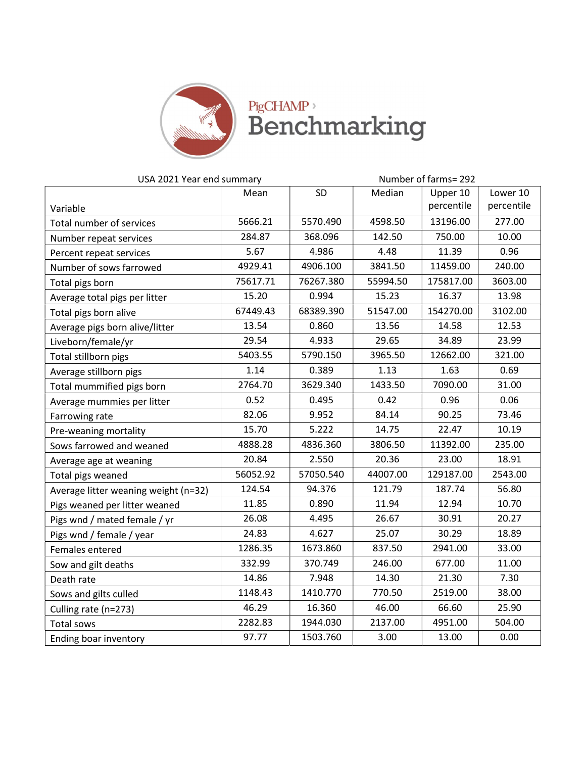

## PigCHAMP,

| USA 2021 Year end summary            |          |           |          | Number of farms=292 |            |  |  |
|--------------------------------------|----------|-----------|----------|---------------------|------------|--|--|
|                                      | Mean     | SD        | Median   | Upper 10            | Lower 10   |  |  |
| Variable                             |          |           |          | percentile          | percentile |  |  |
| Total number of services             | 5666.21  | 5570.490  | 4598.50  | 13196.00            | 277.00     |  |  |
| Number repeat services               | 284.87   | 368.096   | 142.50   | 750.00              | 10.00      |  |  |
| Percent repeat services              | 5.67     | 4.986     | 4.48     | 11.39               | 0.96       |  |  |
| Number of sows farrowed              | 4929.41  | 4906.100  | 3841.50  | 11459.00            | 240.00     |  |  |
| Total pigs born                      | 75617.71 | 76267.380 | 55994.50 | 175817.00           | 3603.00    |  |  |
| Average total pigs per litter        | 15.20    | 0.994     | 15.23    | 16.37               | 13.98      |  |  |
| Total pigs born alive                | 67449.43 | 68389.390 | 51547.00 | 154270.00           | 3102.00    |  |  |
| Average pigs born alive/litter       | 13.54    | 0.860     | 13.56    | 14.58               | 12.53      |  |  |
| Liveborn/female/yr                   | 29.54    | 4.933     | 29.65    | 34.89               | 23.99      |  |  |
| Total stillborn pigs                 | 5403.55  | 5790.150  | 3965.50  | 12662.00            | 321.00     |  |  |
| Average stillborn pigs               | 1.14     | 0.389     | 1.13     | 1.63                | 0.69       |  |  |
| Total mummified pigs born            | 2764.70  | 3629.340  | 1433.50  | 7090.00             | 31.00      |  |  |
| Average mummies per litter           | 0.52     | 0.495     | 0.42     | 0.96                | 0.06       |  |  |
| Farrowing rate                       | 82.06    | 9.952     | 84.14    | 90.25               | 73.46      |  |  |
| Pre-weaning mortality                | 15.70    | 5.222     | 14.75    | 22.47               | 10.19      |  |  |
| Sows farrowed and weaned             | 4888.28  | 4836.360  | 3806.50  | 11392.00            | 235.00     |  |  |
| Average age at weaning               | 20.84    | 2.550     | 20.36    | 23.00               | 18.91      |  |  |
| Total pigs weaned                    | 56052.92 | 57050.540 | 44007.00 | 129187.00           | 2543.00    |  |  |
| Average litter weaning weight (n=32) | 124.54   | 94.376    | 121.79   | 187.74              | 56.80      |  |  |
| Pigs weaned per litter weaned        | 11.85    | 0.890     | 11.94    | 12.94               | 10.70      |  |  |
| Pigs wnd / mated female / yr         | 26.08    | 4.495     | 26.67    | 30.91               | 20.27      |  |  |
| Pigs wnd / female / year             | 24.83    | 4.627     | 25.07    | 30.29               | 18.89      |  |  |
| Females entered                      | 1286.35  | 1673.860  | 837.50   | 2941.00             | 33.00      |  |  |
| Sow and gilt deaths                  | 332.99   | 370.749   | 246.00   | 677.00              | 11.00      |  |  |
| Death rate                           | 14.86    | 7.948     | 14.30    | 21.30               | 7.30       |  |  |
| Sows and gilts culled                | 1148.43  | 1410.770  | 770.50   | 2519.00             | 38.00      |  |  |
| Culling rate (n=273)                 | 46.29    | 16.360    | 46.00    | 66.60               | 25.90      |  |  |
| <b>Total sows</b>                    | 2282.83  | 1944.030  | 2137.00  | 4951.00             | 504.00     |  |  |
| Ending boar inventory                | 97.77    | 1503.760  | 3.00     | 13.00               | 0.00       |  |  |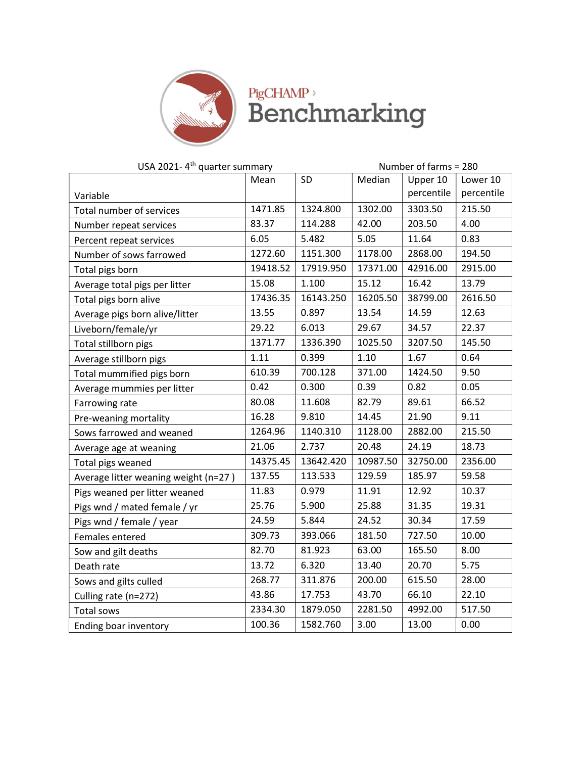

**PigCHAMP**<sup>></sup><br>Benchmarking

| USA 2021-4 <sup>th</sup> quarter summary |            |           | Number of farms = 280 |            |            |
|------------------------------------------|------------|-----------|-----------------------|------------|------------|
|                                          | SD<br>Mean |           | Median                | Upper 10   | Lower 10   |
| Variable                                 |            |           |                       | percentile | percentile |
| Total number of services                 | 1471.85    | 1324.800  | 1302.00               | 3303.50    | 215.50     |
| Number repeat services                   | 83.37      | 114.288   | 42.00                 | 203.50     | 4.00       |
| Percent repeat services                  | 6.05       | 5.482     | 5.05                  | 11.64      | 0.83       |
| Number of sows farrowed                  | 1272.60    | 1151.300  | 1178.00               | 2868.00    | 194.50     |
| Total pigs born                          | 19418.52   | 17919.950 | 17371.00              | 42916.00   | 2915.00    |
| Average total pigs per litter            | 15.08      | 1.100     | 15.12                 | 16.42      | 13.79      |
| Total pigs born alive                    | 17436.35   | 16143.250 | 16205.50              | 38799.00   | 2616.50    |
| Average pigs born alive/litter           | 13.55      | 0.897     | 13.54                 | 14.59      | 12.63      |
| Liveborn/female/yr                       | 29.22      | 6.013     | 29.67                 | 34.57      | 22.37      |
| Total stillborn pigs                     | 1371.77    | 1336.390  | 1025.50               | 3207.50    | 145.50     |
| Average stillborn pigs                   | 1.11       | 0.399     | 1.10                  | 1.67       | 0.64       |
| Total mummified pigs born                | 610.39     | 700.128   | 371.00                | 1424.50    | 9.50       |
| Average mummies per litter               | 0.42       | 0.300     | 0.39                  | 0.82       | 0.05       |
| Farrowing rate                           | 80.08      | 11.608    | 82.79                 | 89.61      | 66.52      |
| Pre-weaning mortality                    | 16.28      | 9.810     | 14.45                 | 21.90      | 9.11       |
| Sows farrowed and weaned                 | 1264.96    | 1140.310  | 1128.00               | 2882.00    | 215.50     |
| Average age at weaning                   | 21.06      | 2.737     | 20.48                 | 24.19      | 18.73      |
| Total pigs weaned                        | 14375.45   | 13642.420 | 10987.50              | 32750.00   | 2356.00    |
| Average litter weaning weight (n=27)     | 137.55     | 113.533   | 129.59                | 185.97     | 59.58      |
| Pigs weaned per litter weaned            | 11.83      | 0.979     | 11.91                 | 12.92      | 10.37      |
| Pigs wnd / mated female / yr             | 25.76      | 5.900     | 25.88                 | 31.35      | 19.31      |
| Pigs wnd / female / year                 | 24.59      | 5.844     | 24.52                 | 30.34      | 17.59      |
| Females entered                          | 309.73     | 393.066   | 181.50                | 727.50     | 10.00      |
| Sow and gilt deaths                      | 82.70      | 81.923    | 63.00                 | 165.50     | 8.00       |
| Death rate                               | 13.72      | 6.320     | 13.40                 | 20.70      | 5.75       |
| Sows and gilts culled                    | 268.77     | 311.876   | 200.00                | 615.50     | 28.00      |
| Culling rate (n=272)                     | 43.86      | 17.753    | 43.70                 | 66.10      | 22.10      |
| Total sows                               | 2334.30    | 1879.050  | 2281.50               | 4992.00    | 517.50     |
| Ending boar inventory                    | 100.36     | 1582.760  | 3.00                  | 13.00      | 0.00       |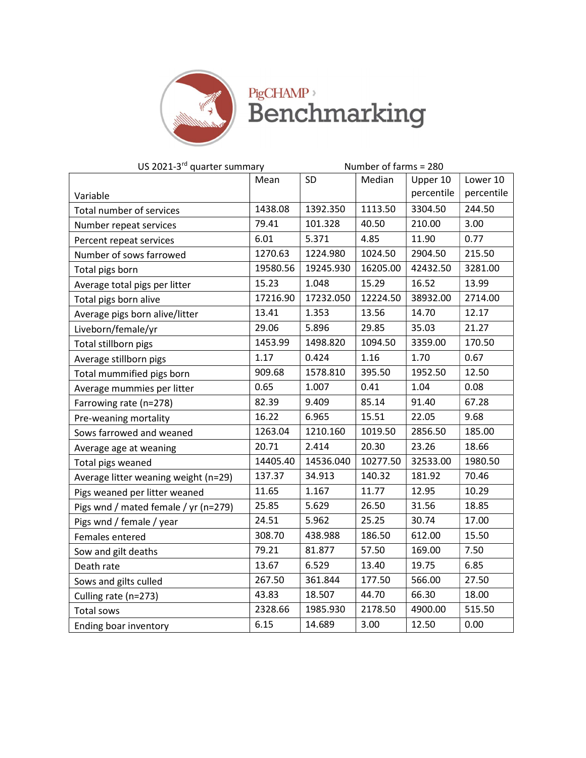

## PigCHAMP<sup>,</sup><br>Benchmarking

| US 2021-3 <sup>rd</sup> quarter summary | Number of farms = 280 |           |          |            |            |
|-----------------------------------------|-----------------------|-----------|----------|------------|------------|
|                                         | Mean                  | SD        | Median   | Upper 10   | Lower 10   |
| Variable                                |                       |           |          | percentile | percentile |
| Total number of services                | 1438.08               | 1392.350  | 1113.50  | 3304.50    | 244.50     |
| Number repeat services                  | 79.41                 | 101.328   | 40.50    | 210.00     | 3.00       |
| Percent repeat services                 | 6.01                  | 5.371     | 4.85     | 11.90      | 0.77       |
| Number of sows farrowed                 | 1270.63               | 1224.980  | 1024.50  | 2904.50    | 215.50     |
| Total pigs born                         | 19580.56              | 19245.930 | 16205.00 | 42432.50   | 3281.00    |
| Average total pigs per litter           | 15.23                 | 1.048     | 15.29    | 16.52      | 13.99      |
| Total pigs born alive                   | 17216.90              | 17232.050 | 12224.50 | 38932.00   | 2714.00    |
| Average pigs born alive/litter          | 13.41                 | 1.353     | 13.56    | 14.70      | 12.17      |
| Liveborn/female/yr                      | 29.06                 | 5.896     | 29.85    | 35.03      | 21.27      |
| Total stillborn pigs                    | 1453.99               | 1498.820  | 1094.50  | 3359.00    | 170.50     |
| Average stillborn pigs                  | 1.17                  | 0.424     | 1.16     | 1.70       | 0.67       |
| Total mummified pigs born               | 909.68                | 1578.810  | 395.50   | 1952.50    | 12.50      |
| Average mummies per litter              | 0.65                  | 1.007     | 0.41     | 1.04       | 0.08       |
| Farrowing rate (n=278)                  | 82.39                 | 9.409     | 85.14    | 91.40      | 67.28      |
| Pre-weaning mortality                   | 16.22                 | 6.965     | 15.51    | 22.05      | 9.68       |
| Sows farrowed and weaned                | 1263.04               | 1210.160  | 1019.50  | 2856.50    | 185.00     |
| Average age at weaning                  | 20.71                 | 2.414     | 20.30    | 23.26      | 18.66      |
| Total pigs weaned                       | 14405.40              | 14536.040 | 10277.50 | 32533.00   | 1980.50    |
| Average litter weaning weight (n=29)    | 137.37                | 34.913    | 140.32   | 181.92     | 70.46      |
| Pigs weaned per litter weaned           | 11.65                 | 1.167     | 11.77    | 12.95      | 10.29      |
| Pigs wnd / mated female / yr (n=279)    | 25.85                 | 5.629     | 26.50    | 31.56      | 18.85      |
| Pigs wnd / female / year                | 24.51                 | 5.962     | 25.25    | 30.74      | 17.00      |
| Females entered                         | 308.70                | 438.988   | 186.50   | 612.00     | 15.50      |
| Sow and gilt deaths                     | 79.21                 | 81.877    | 57.50    | 169.00     | 7.50       |
| Death rate                              | 13.67                 | 6.529     | 13.40    | 19.75      | 6.85       |
| Sows and gilts culled                   | 267.50                | 361.844   | 177.50   | 566.00     | 27.50      |
| Culling rate (n=273)                    | 43.83                 | 18.507    | 44.70    | 66.30      | 18.00      |
| Total sows                              | 2328.66               | 1985.930  | 2178.50  | 4900.00    | 515.50     |
| Ending boar inventory                   | 6.15                  | 14.689    | 3.00     | 12.50      | 0.00       |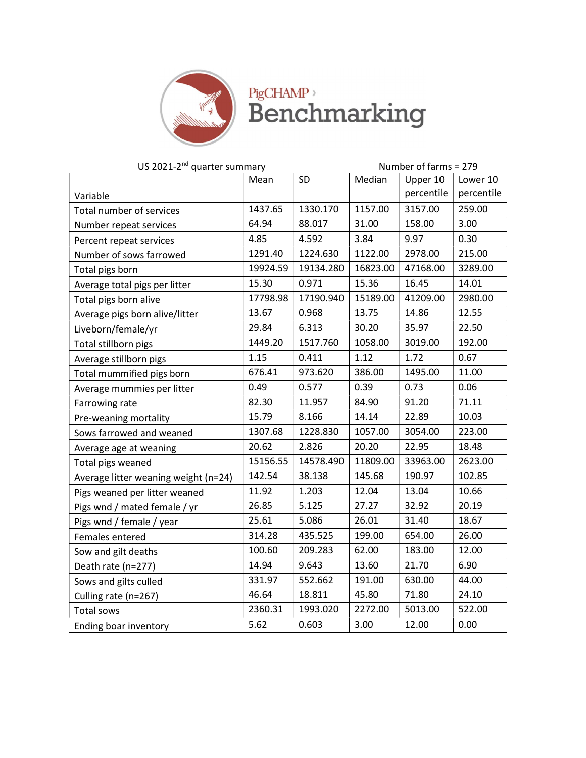

**PigCHAMP**<sup>></sup><br>Benchmarking

| US 2021-2 <sup>nd</sup> quarter summary |            |           | Number of farms = 279 |            |            |  |
|-----------------------------------------|------------|-----------|-----------------------|------------|------------|--|
|                                         | SD<br>Mean |           | Median                | Upper 10   | Lower 10   |  |
| Variable                                |            |           |                       | percentile | percentile |  |
| Total number of services                | 1437.65    | 1330.170  | 1157.00               | 3157.00    | 259.00     |  |
| Number repeat services                  | 64.94      | 88.017    | 31.00                 | 158.00     | 3.00       |  |
| Percent repeat services                 | 4.85       | 4.592     | 3.84                  | 9.97       | 0.30       |  |
| Number of sows farrowed                 | 1291.40    | 1224.630  | 1122.00               | 2978.00    | 215.00     |  |
| Total pigs born                         | 19924.59   | 19134.280 | 16823.00              | 47168.00   | 3289.00    |  |
| Average total pigs per litter           | 15.30      | 0.971     | 15.36                 | 16.45      | 14.01      |  |
| Total pigs born alive                   | 17798.98   | 17190.940 | 15189.00              | 41209.00   | 2980.00    |  |
| Average pigs born alive/litter          | 13.67      | 0.968     | 13.75                 | 14.86      | 12.55      |  |
| Liveborn/female/yr                      | 29.84      | 6.313     | 30.20                 | 35.97      | 22.50      |  |
| Total stillborn pigs                    | 1449.20    | 1517.760  | 1058.00               | 3019.00    | 192.00     |  |
| Average stillborn pigs                  | 1.15       | 0.411     | 1.12                  | 1.72       | 0.67       |  |
| Total mummified pigs born               | 676.41     | 973.620   | 386.00                | 1495.00    | 11.00      |  |
| Average mummies per litter              | 0.49       | 0.577     | 0.39                  | 0.73       | 0.06       |  |
| Farrowing rate                          | 82.30      | 11.957    | 84.90                 | 91.20      | 71.11      |  |
| Pre-weaning mortality                   | 15.79      | 8.166     | 14.14                 | 22.89      | 10.03      |  |
| Sows farrowed and weaned                | 1307.68    | 1228.830  | 1057.00               | 3054.00    | 223.00     |  |
| Average age at weaning                  | 20.62      | 2.826     | 20.20                 | 22.95      | 18.48      |  |
| Total pigs weaned                       | 15156.55   | 14578.490 | 11809.00              | 33963.00   | 2623.00    |  |
| Average litter weaning weight (n=24)    | 142.54     | 38.138    | 145.68                | 190.97     | 102.85     |  |
| Pigs weaned per litter weaned           | 11.92      | 1.203     | 12.04                 | 13.04      | 10.66      |  |
| Pigs wnd / mated female / yr            | 26.85      | 5.125     | 27.27                 | 32.92      | 20.19      |  |
| Pigs wnd / female / year                | 25.61      | 5.086     | 26.01                 | 31.40      | 18.67      |  |
| Females entered                         | 314.28     | 435.525   | 199.00                | 654.00     | 26.00      |  |
| Sow and gilt deaths                     | 100.60     | 209.283   | 62.00                 | 183.00     | 12.00      |  |
| Death rate (n=277)                      | 14.94      | 9.643     | 13.60                 | 21.70      | 6.90       |  |
| Sows and gilts culled                   | 331.97     | 552.662   | 191.00                | 630.00     | 44.00      |  |
| Culling rate (n=267)                    | 46.64      | 18.811    | 45.80                 | 71.80      | 24.10      |  |
| Total sows                              | 2360.31    | 1993.020  | 2272.00               | 5013.00    | 522.00     |  |
| Ending boar inventory                   | 5.62       | 0.603     | 3.00                  | 12.00      | 0.00       |  |